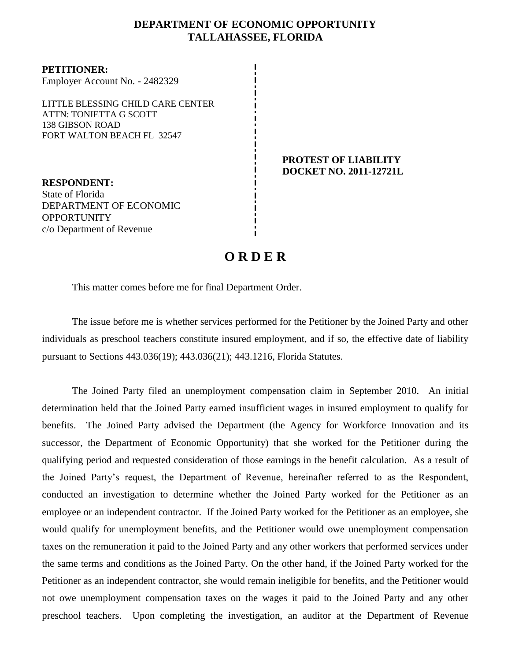# **DEPARTMENT OF ECONOMIC OPPORTUNITY TALLAHASSEE, FLORIDA**

**PETITIONER:** Employer Account No. - 2482329 LITTLE BLESSING CHILD CARE CENTER

ATTN: TONIETTA G SCOTT 138 GIBSON ROAD FORT WALTON BEACH FL 32547

**RESPONDENT:** State of Florida DEPARTMENT OF ECONOMIC OPPORTUNITY c/o Department of Revenue

#### **PROTEST OF LIABILITY DOCKET NO. 2011-12721L**

# **O R D E R**

This matter comes before me for final Department Order.

The issue before me is whether services performed for the Petitioner by the Joined Party and other individuals as preschool teachers constitute insured employment, and if so, the effective date of liability pursuant to Sections 443.036(19); 443.036(21); 443.1216, Florida Statutes.

The Joined Party filed an unemployment compensation claim in September 2010.An initial determination held that the Joined Party earned insufficient wages in insured employment to qualify for benefits. The Joined Party advised the Department (the Agency for Workforce Innovation and its successor, the Department of Economic Opportunity) that she worked for the Petitioner during the qualifying period and requested consideration of those earnings in the benefit calculation. As a result of the Joined Party's request, the Department of Revenue, hereinafter referred to as the Respondent, conducted an investigation to determine whether the Joined Party worked for the Petitioner as an employee or an independent contractor. If the Joined Party worked for the Petitioner as an employee, she would qualify for unemployment benefits, and the Petitioner would owe unemployment compensation taxes on the remuneration it paid to the Joined Party and any other workers that performed services under the same terms and conditions as the Joined Party. On the other hand, if the Joined Party worked for the Petitioner as an independent contractor, she would remain ineligible for benefits, and the Petitioner would not owe unemployment compensation taxes on the wages it paid to the Joined Party and any other preschool teachers. Upon completing the investigation, an auditor at the Department of Revenue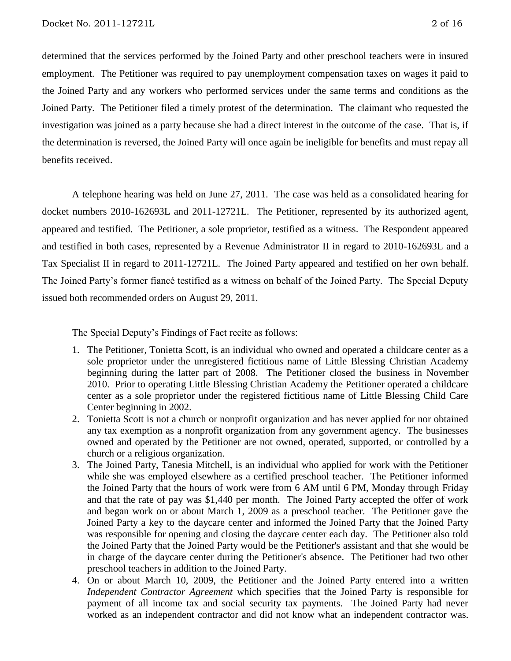determined that the services performed by the Joined Party and other preschool teachers were in insured employment. The Petitioner was required to pay unemployment compensation taxes on wages it paid to the Joined Party and any workers who performed services under the same terms and conditions as the Joined Party.The Petitioner filed a timely protest of the determination.The claimant who requested the investigation was joined as a party because she had a direct interest in the outcome of the case. That is, if the determination is reversed, the Joined Party will once again be ineligible for benefits and must repay all benefits received.

A telephone hearing was held on June 27, 2011.The case was held as a consolidated hearing for docket numbers 2010-162693L and 2011-12721L.The Petitioner, represented by its authorized agent, appeared and testified. The Petitioner, a sole proprietor, testified as a witness. The Respondent appeared and testified in both cases, represented by a Revenue Administrator II in regard to 2010-162693L and a Tax Specialist II in regard to 2011-12721L. The Joined Party appeared and testified on her own behalf. The Joined Party's former fiancé testified as a witness on behalf of the Joined Party. The Special Deputy issued both recommended orders on August 29, 2011.

The Special Deputy's Findings of Fact recite as follows:

- 1. The Petitioner, Tonietta Scott, is an individual who owned and operated a childcare center as a sole proprietor under the unregistered fictitious name of Little Blessing Christian Academy beginning during the latter part of 2008. The Petitioner closed the business in November 2010. Prior to operating Little Blessing Christian Academy the Petitioner operated a childcare center as a sole proprietor under the registered fictitious name of Little Blessing Child Care Center beginning in 2002.
- 2. Tonietta Scott is not a church or nonprofit organization and has never applied for nor obtained any tax exemption as a nonprofit organization from any government agency. The businesses owned and operated by the Petitioner are not owned, operated, supported, or controlled by a church or a religious organization.
- 3. The Joined Party, Tanesia Mitchell, is an individual who applied for work with the Petitioner while she was employed elsewhere as a certified preschool teacher. The Petitioner informed the Joined Party that the hours of work were from 6 AM until 6 PM, Monday through Friday and that the rate of pay was \$1,440 per month. The Joined Party accepted the offer of work and began work on or about March 1, 2009 as a preschool teacher. The Petitioner gave the Joined Party a key to the daycare center and informed the Joined Party that the Joined Party was responsible for opening and closing the daycare center each day. The Petitioner also told the Joined Party that the Joined Party would be the Petitioner's assistant and that she would be in charge of the daycare center during the Petitioner's absence. The Petitioner had two other preschool teachers in addition to the Joined Party.
- 4. On or about March 10, 2009, the Petitioner and the Joined Party entered into a written *Independent Contractor Agreement* which specifies that the Joined Party is responsible for payment of all income tax and social security tax payments. The Joined Party had never worked as an independent contractor and did not know what an independent contractor was.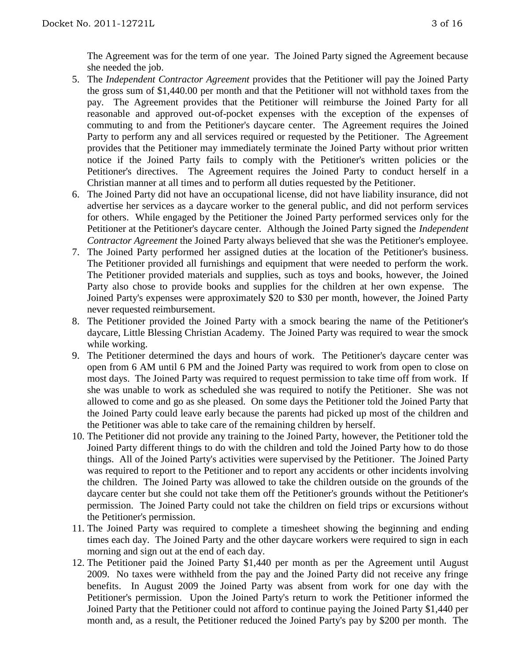The Agreement was for the term of one year. The Joined Party signed the Agreement because she needed the job.

- 5. The *Independent Contractor Agreement* provides that the Petitioner will pay the Joined Party the gross sum of \$1,440.00 per month and that the Petitioner will not withhold taxes from the pay. The Agreement provides that the Petitioner will reimburse the Joined Party for all reasonable and approved out-of-pocket expenses with the exception of the expenses of commuting to and from the Petitioner's daycare center. The Agreement requires the Joined Party to perform any and all services required or requested by the Petitioner. The Agreement provides that the Petitioner may immediately terminate the Joined Party without prior written notice if the Joined Party fails to comply with the Petitioner's written policies or the Petitioner's directives. The Agreement requires the Joined Party to conduct herself in a Christian manner at all times and to perform all duties requested by the Petitioner.
- 6. The Joined Party did not have an occupational license, did not have liability insurance, did not advertise her services as a daycare worker to the general public, and did not perform services for others. While engaged by the Petitioner the Joined Party performed services only for the Petitioner at the Petitioner's daycare center. Although the Joined Party signed the *Independent Contractor Agreement* the Joined Party always believed that she was the Petitioner's employee.
- 7. The Joined Party performed her assigned duties at the location of the Petitioner's business. The Petitioner provided all furnishings and equipment that were needed to perform the work. The Petitioner provided materials and supplies, such as toys and books, however, the Joined Party also chose to provide books and supplies for the children at her own expense. The Joined Party's expenses were approximately \$20 to \$30 per month, however, the Joined Party never requested reimbursement.
- 8. The Petitioner provided the Joined Party with a smock bearing the name of the Petitioner's daycare, Little Blessing Christian Academy. The Joined Party was required to wear the smock while working.
- 9. The Petitioner determined the days and hours of work. The Petitioner's daycare center was open from 6 AM until 6 PM and the Joined Party was required to work from open to close on most days. The Joined Party was required to request permission to take time off from work. If she was unable to work as scheduled she was required to notify the Petitioner. She was not allowed to come and go as she pleased. On some days the Petitioner told the Joined Party that the Joined Party could leave early because the parents had picked up most of the children and the Petitioner was able to take care of the remaining children by herself.
- 10. The Petitioner did not provide any training to the Joined Party, however, the Petitioner told the Joined Party different things to do with the children and told the Joined Party how to do those things. All of the Joined Party's activities were supervised by the Petitioner. The Joined Party was required to report to the Petitioner and to report any accidents or other incidents involving the children. The Joined Party was allowed to take the children outside on the grounds of the daycare center but she could not take them off the Petitioner's grounds without the Petitioner's permission. The Joined Party could not take the children on field trips or excursions without the Petitioner's permission.
- 11. The Joined Party was required to complete a timesheet showing the beginning and ending times each day. The Joined Party and the other daycare workers were required to sign in each morning and sign out at the end of each day.
- 12. The Petitioner paid the Joined Party \$1,440 per month as per the Agreement until August 2009. No taxes were withheld from the pay and the Joined Party did not receive any fringe benefits. In August 2009 the Joined Party was absent from work for one day with the Petitioner's permission. Upon the Joined Party's return to work the Petitioner informed the Joined Party that the Petitioner could not afford to continue paying the Joined Party \$1,440 per month and, as a result, the Petitioner reduced the Joined Party's pay by \$200 per month. The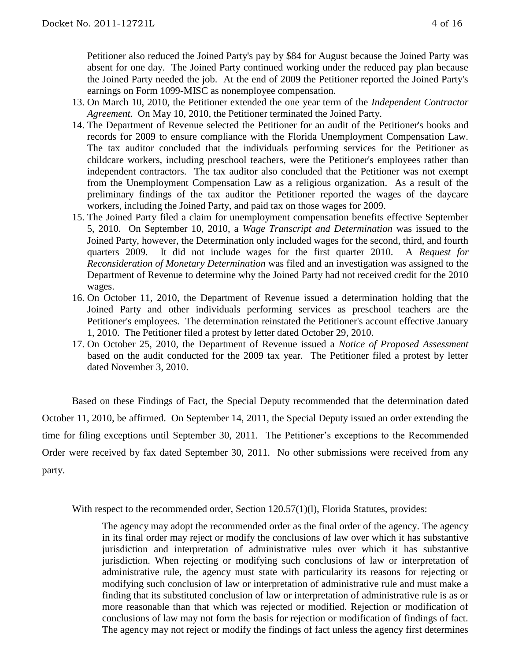Petitioner also reduced the Joined Party's pay by \$84 for August because the Joined Party was absent for one day. The Joined Party continued working under the reduced pay plan because the Joined Party needed the job. At the end of 2009 the Petitioner reported the Joined Party's earnings on Form 1099-MISC as nonemployee compensation.

- 13. On March 10, 2010, the Petitioner extended the one year term of the *Independent Contractor Agreement.* On May 10, 2010, the Petitioner terminated the Joined Party.
- 14. The Department of Revenue selected the Petitioner for an audit of the Petitioner's books and records for 2009 to ensure compliance with the Florida Unemployment Compensation Law. The tax auditor concluded that the individuals performing services for the Petitioner as childcare workers, including preschool teachers, were the Petitioner's employees rather than independent contractors. The tax auditor also concluded that the Petitioner was not exempt from the Unemployment Compensation Law as a religious organization. As a result of the preliminary findings of the tax auditor the Petitioner reported the wages of the daycare workers, including the Joined Party, and paid tax on those wages for 2009.
- 15. The Joined Party filed a claim for unemployment compensation benefits effective September 5, 2010. On September 10, 2010, a *Wage Transcript and Determination* was issued to the Joined Party, however, the Determination only included wages for the second, third, and fourth quarters 2009. It did not include wages for the first quarter 2010. A *Request for Reconsideration of Monetary Determination* was filed and an investigation was assigned to the Department of Revenue to determine why the Joined Party had not received credit for the 2010 wages.
- 16. On October 11, 2010, the Department of Revenue issued a determination holding that the Joined Party and other individuals performing services as preschool teachers are the Petitioner's employees. The determination reinstated the Petitioner's account effective January 1, 2010. The Petitioner filed a protest by letter dated October 29, 2010.
- 17. On October 25, 2010, the Department of Revenue issued a *Notice of Proposed Assessment* based on the audit conducted for the 2009 tax year. The Petitioner filed a protest by letter dated November 3, 2010.

Based on these Findings of Fact, the Special Deputy recommended that the determination dated October 11, 2010, be affirmed. On September 14, 2011, the Special Deputy issued an order extending the time for filing exceptions until September 30, 2011. The Petitioner's exceptions to the Recommended Order were received by fax dated September 30, 2011. No other submissions were received from any party.

With respect to the recommended order, Section 120.57(1)(1), Florida Statutes, provides:

The agency may adopt the recommended order as the final order of the agency. The agency in its final order may reject or modify the conclusions of law over which it has substantive jurisdiction and interpretation of administrative rules over which it has substantive jurisdiction. When rejecting or modifying such conclusions of law or interpretation of administrative rule, the agency must state with particularity its reasons for rejecting or modifying such conclusion of law or interpretation of administrative rule and must make a finding that its substituted conclusion of law or interpretation of administrative rule is as or more reasonable than that which was rejected or modified. Rejection or modification of conclusions of law may not form the basis for rejection or modification of findings of fact. The agency may not reject or modify the findings of fact unless the agency first determines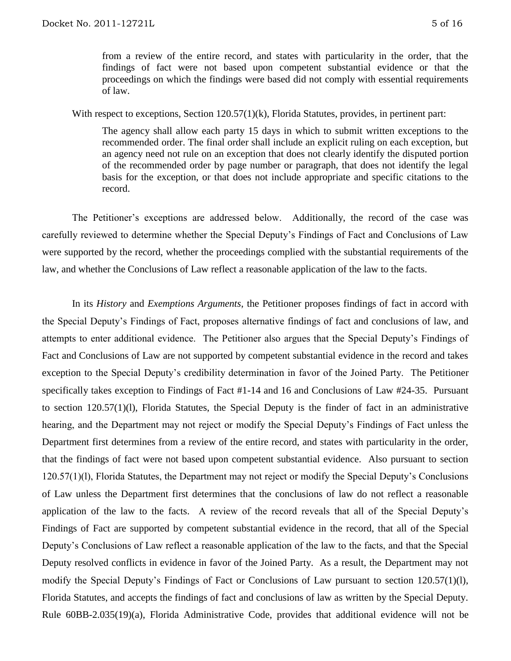from a review of the entire record, and states with particularity in the order, that the findings of fact were not based upon competent substantial evidence or that the proceedings on which the findings were based did not comply with essential requirements of law.

With respect to exceptions, Section 120.57(1)(k), Florida Statutes, provides, in pertinent part:

The agency shall allow each party 15 days in which to submit written exceptions to the recommended order. The final order shall include an explicit ruling on each exception, but an agency need not rule on an exception that does not clearly identify the disputed portion of the recommended order by page number or paragraph, that does not identify the legal basis for the exception, or that does not include appropriate and specific citations to the record.

The Petitioner's exceptions are addressed below. Additionally, the record of the case was carefully reviewed to determine whether the Special Deputy's Findings of Fact and Conclusions of Law were supported by the record, whether the proceedings complied with the substantial requirements of the law, and whether the Conclusions of Law reflect a reasonable application of the law to the facts.

In its *History* and *Exemptions Arguments*, the Petitioner proposes findings of fact in accord with the Special Deputy's Findings of Fact, proposes alternative findings of fact and conclusions of law, and attempts to enter additional evidence. The Petitioner also argues that the Special Deputy's Findings of Fact and Conclusions of Law are not supported by competent substantial evidence in the record and takes exception to the Special Deputy's credibility determination in favor of the Joined Party. The Petitioner specifically takes exception to Findings of Fact #1-14 and 16 and Conclusions of Law #24-35. Pursuant to section 120.57(1)(l), Florida Statutes, the Special Deputy is the finder of fact in an administrative hearing, and the Department may not reject or modify the Special Deputy's Findings of Fact unless the Department first determines from a review of the entire record, and states with particularity in the order, that the findings of fact were not based upon competent substantial evidence. Also pursuant to section 120.57(1)(l), Florida Statutes, the Department may not reject or modify the Special Deputy's Conclusions of Law unless the Department first determines that the conclusions of law do not reflect a reasonable application of the law to the facts. A review of the record reveals that all of the Special Deputy's Findings of Fact are supported by competent substantial evidence in the record, that all of the Special Deputy's Conclusions of Law reflect a reasonable application of the law to the facts, and that the Special Deputy resolved conflicts in evidence in favor of the Joined Party. As a result, the Department may not modify the Special Deputy's Findings of Fact or Conclusions of Law pursuant to section 120.57(1)(l), Florida Statutes, and accepts the findings of fact and conclusions of law as written by the Special Deputy. Rule 60BB-2.035(19)(a), Florida Administrative Code, provides that additional evidence will not be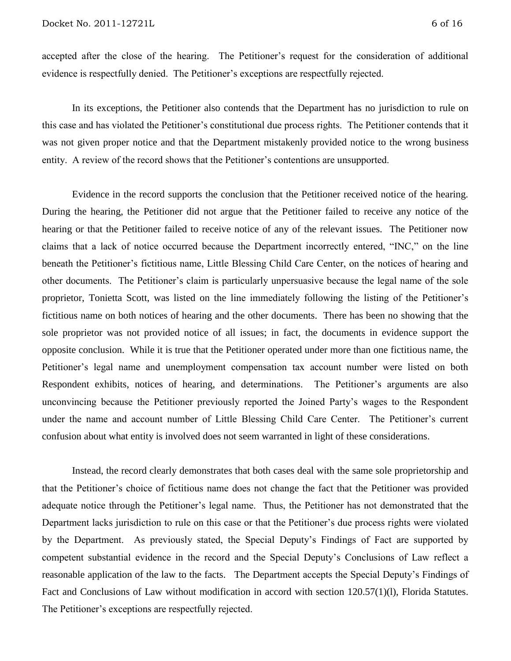accepted after the close of the hearing. The Petitioner's request for the consideration of additional evidence is respectfully denied. The Petitioner's exceptions are respectfully rejected.

In its exceptions, the Petitioner also contends that the Department has no jurisdiction to rule on this case and has violated the Petitioner's constitutional due process rights. The Petitioner contends that it was not given proper notice and that the Department mistakenly provided notice to the wrong business entity. A review of the record shows that the Petitioner's contentions are unsupported.

Evidence in the record supports the conclusion that the Petitioner received notice of the hearing. During the hearing, the Petitioner did not argue that the Petitioner failed to receive any notice of the hearing or that the Petitioner failed to receive notice of any of the relevant issues. The Petitioner now claims that a lack of notice occurred because the Department incorrectly entered, "INC," on the line beneath the Petitioner's fictitious name, Little Blessing Child Care Center, on the notices of hearing and other documents. The Petitioner's claim is particularly unpersuasive because the legal name of the sole proprietor, Tonietta Scott, was listed on the line immediately following the listing of the Petitioner's fictitious name on both notices of hearing and the other documents. There has been no showing that the sole proprietor was not provided notice of all issues; in fact, the documents in evidence support the opposite conclusion. While it is true that the Petitioner operated under more than one fictitious name, the Petitioner's legal name and unemployment compensation tax account number were listed on both Respondent exhibits, notices of hearing, and determinations. The Petitioner's arguments are also unconvincing because the Petitioner previously reported the Joined Party's wages to the Respondent under the name and account number of Little Blessing Child Care Center. The Petitioner's current confusion about what entity is involved does not seem warranted in light of these considerations.

Instead, the record clearly demonstrates that both cases deal with the same sole proprietorship and that the Petitioner's choice of fictitious name does not change the fact that the Petitioner was provided adequate notice through the Petitioner's legal name. Thus, the Petitioner has not demonstrated that the Department lacks jurisdiction to rule on this case or that the Petitioner's due process rights were violated by the Department. As previously stated, the Special Deputy's Findings of Fact are supported by competent substantial evidence in the record and the Special Deputy's Conclusions of Law reflect a reasonable application of the law to the facts. The Department accepts the Special Deputy's Findings of Fact and Conclusions of Law without modification in accord with section 120.57(1)(l), Florida Statutes. The Petitioner's exceptions are respectfully rejected.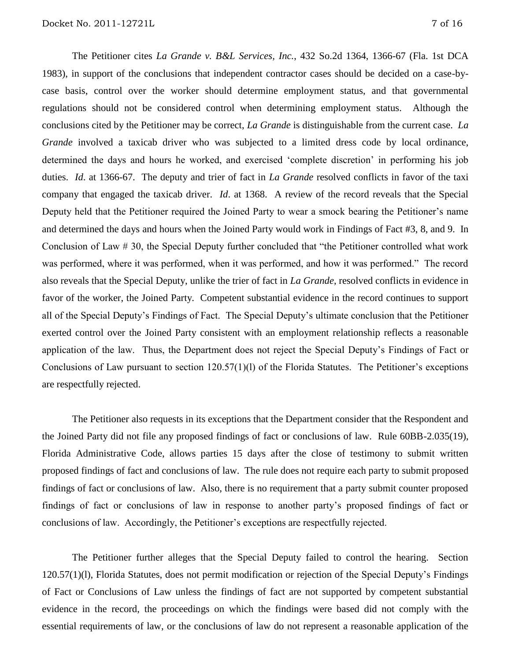The Petitioner cites *La Grande v. B&L Services, Inc.*, 432 So.2d 1364, 1366-67 (Fla. 1st DCA 1983), in support of the conclusions that independent contractor cases should be decided on a case-bycase basis, control over the worker should determine employment status, and that governmental regulations should not be considered control when determining employment status. Although the conclusions cited by the Petitioner may be correct, *La Grande* is distinguishable from the current case. *La Grande* involved a taxicab driver who was subjected to a limited dress code by local ordinance, determined the days and hours he worked, and exercised 'complete discretion' in performing his job duties. *Id*. at 1366-67. The deputy and trier of fact in *La Grande* resolved conflicts in favor of the taxi company that engaged the taxicab driver. *Id*. at 1368. A review of the record reveals that the Special Deputy held that the Petitioner required the Joined Party to wear a smock bearing the Petitioner's name and determined the days and hours when the Joined Party would work in Findings of Fact #3, 8, and 9. In Conclusion of Law # 30, the Special Deputy further concluded that "the Petitioner controlled what work was performed, where it was performed, when it was performed, and how it was performed." The record also reveals that the Special Deputy, unlike the trier of fact in *La Grande*, resolved conflicts in evidence in favor of the worker, the Joined Party. Competent substantial evidence in the record continues to support all of the Special Deputy's Findings of Fact. The Special Deputy's ultimate conclusion that the Petitioner exerted control over the Joined Party consistent with an employment relationship reflects a reasonable application of the law. Thus, the Department does not reject the Special Deputy's Findings of Fact or Conclusions of Law pursuant to section 120.57(1)(l) of the Florida Statutes. The Petitioner's exceptions are respectfully rejected.

The Petitioner also requests in its exceptions that the Department consider that the Respondent and the Joined Party did not file any proposed findings of fact or conclusions of law. Rule 60BB-2.035(19), Florida Administrative Code, allows parties 15 days after the close of testimony to submit written proposed findings of fact and conclusions of law. The rule does not require each party to submit proposed findings of fact or conclusions of law. Also, there is no requirement that a party submit counter proposed findings of fact or conclusions of law in response to another party's proposed findings of fact or conclusions of law. Accordingly, the Petitioner's exceptions are respectfully rejected.

The Petitioner further alleges that the Special Deputy failed to control the hearing. Section 120.57(1)(l), Florida Statutes, does not permit modification or rejection of the Special Deputy's Findings of Fact or Conclusions of Law unless the findings of fact are not supported by competent substantial evidence in the record, the proceedings on which the findings were based did not comply with the essential requirements of law, or the conclusions of law do not represent a reasonable application of the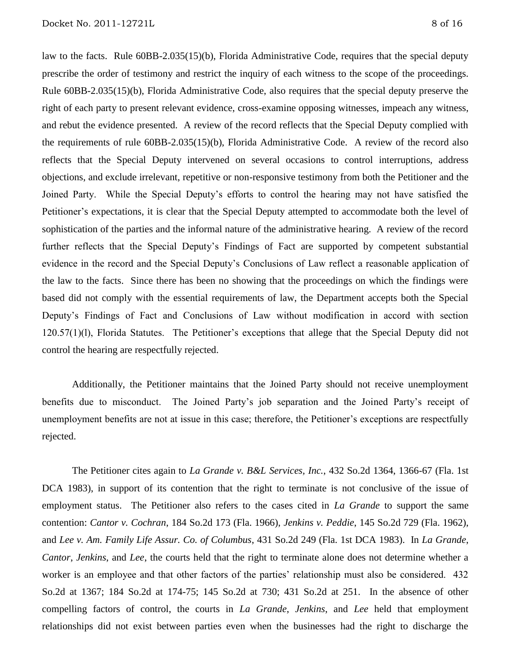law to the facts. Rule 60BB-2.035(15)(b), Florida Administrative Code, requires that the special deputy prescribe the order of testimony and restrict the inquiry of each witness to the scope of the proceedings. Rule 60BB-2.035(15)(b), Florida Administrative Code, also requires that the special deputy preserve the right of each party to present relevant evidence, cross-examine opposing witnesses, impeach any witness, and rebut the evidence presented. A review of the record reflects that the Special Deputy complied with the requirements of rule 60BB-2.035(15)(b), Florida Administrative Code. A review of the record also reflects that the Special Deputy intervened on several occasions to control interruptions, address objections, and exclude irrelevant, repetitive or non-responsive testimony from both the Petitioner and the Joined Party. While the Special Deputy's efforts to control the hearing may not have satisfied the Petitioner's expectations, it is clear that the Special Deputy attempted to accommodate both the level of sophistication of the parties and the informal nature of the administrative hearing. A review of the record further reflects that the Special Deputy's Findings of Fact are supported by competent substantial evidence in the record and the Special Deputy's Conclusions of Law reflect a reasonable application of the law to the facts. Since there has been no showing that the proceedings on which the findings were based did not comply with the essential requirements of law, the Department accepts both the Special Deputy's Findings of Fact and Conclusions of Law without modification in accord with section 120.57(1)(l), Florida Statutes. The Petitioner's exceptions that allege that the Special Deputy did not control the hearing are respectfully rejected.

Additionally, the Petitioner maintains that the Joined Party should not receive unemployment benefits due to misconduct. The Joined Party's job separation and the Joined Party's receipt of unemployment benefits are not at issue in this case; therefore, the Petitioner's exceptions are respectfully rejected.

The Petitioner cites again to *La Grande v. B&L Services, Inc.*, 432 So.2d 1364, 1366-67 (Fla. 1st DCA 1983), in support of its contention that the right to terminate is not conclusive of the issue of employment status. The Petitioner also refers to the cases cited in *La Grande* to support the same contention: *Cantor v. Cochran*, 184 So.2d 173 (Fla. 1966), *Jenkins v. Peddie*, 145 So.2d 729 (Fla. 1962), and *Lee v. Am. Family Life Assur. Co. of Columbus*, 431 So.2d 249 (Fla. 1st DCA 1983). In *La Grande*, *Cantor*, *Jenkins*, and *Lee*, the courts held that the right to terminate alone does not determine whether a worker is an employee and that other factors of the parties' relationship must also be considered. 432 So.2d at 1367; 184 So.2d at 174-75; 145 So.2d at 730; 431 So.2d at 251. In the absence of other compelling factors of control, the courts in *La Grande*, *Jenkins*, and *Lee* held that employment relationships did not exist between parties even when the businesses had the right to discharge the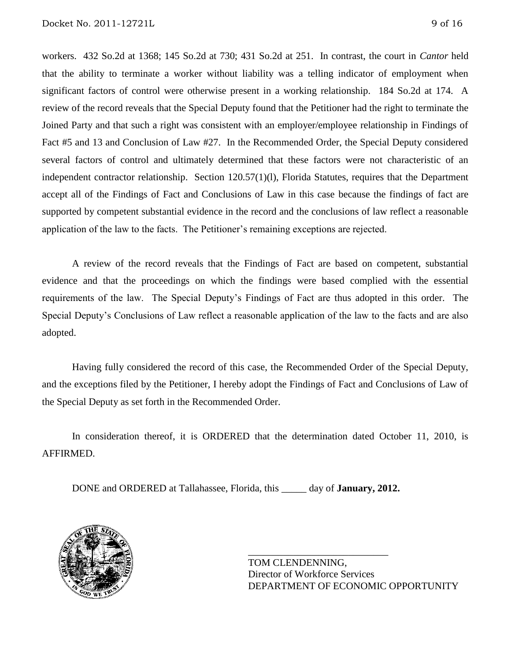workers. 432 So.2d at 1368; 145 So.2d at 730; 431 So.2d at 251. In contrast, the court in *Cantor* held that the ability to terminate a worker without liability was a telling indicator of employment when significant factors of control were otherwise present in a working relationship. 184 So.2d at 174. A review of the record reveals that the Special Deputy found that the Petitioner had the right to terminate the Joined Party and that such a right was consistent with an employer/employee relationship in Findings of Fact #5 and 13 and Conclusion of Law #27. In the Recommended Order, the Special Deputy considered several factors of control and ultimately determined that these factors were not characteristic of an independent contractor relationship. Section 120.57(1)(l), Florida Statutes, requires that the Department accept all of the Findings of Fact and Conclusions of Law in this case because the findings of fact are supported by competent substantial evidence in the record and the conclusions of law reflect a reasonable application of the law to the facts. The Petitioner's remaining exceptions are rejected.

A review of the record reveals that the Findings of Fact are based on competent, substantial evidence and that the proceedings on which the findings were based complied with the essential requirements of the law. The Special Deputy's Findings of Fact are thus adopted in this order. The Special Deputy's Conclusions of Law reflect a reasonable application of the law to the facts and are also adopted.

Having fully considered the record of this case, the Recommended Order of the Special Deputy, and the exceptions filed by the Petitioner, I hereby adopt the Findings of Fact and Conclusions of Law of the Special Deputy as set forth in the Recommended Order.

In consideration thereof, it is ORDERED that the determination dated October 11, 2010, is AFFIRMED.

DONE and ORDERED at Tallahassee, Florida, this \_\_\_\_\_ day of **January, 2012.**



TOM CLENDENNING, Director of Workforce Services DEPARTMENT OF ECONOMIC OPPORTUNITY

\_\_\_\_\_\_\_\_\_\_\_\_\_\_\_\_\_\_\_\_\_\_\_\_\_\_\_\_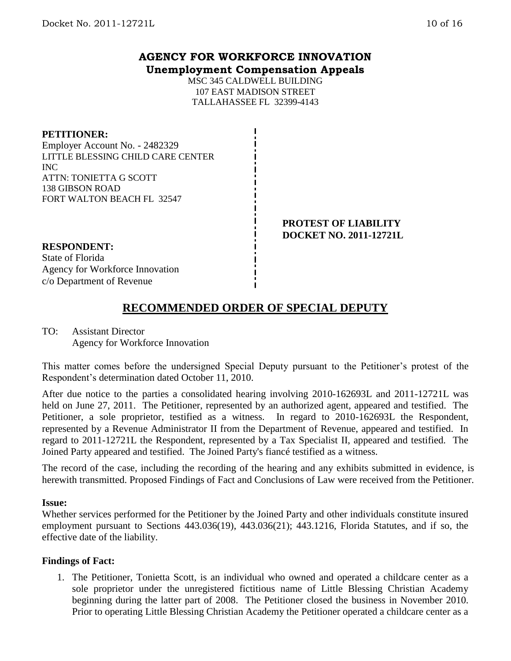## **AGENCY FOR WORKFORCE INNOVATION Unemployment Compensation Appeals**

MSC 345 CALDWELL BUILDING 107 EAST MADISON STREET TALLAHASSEE FL 32399-4143

#### **PETITIONER:**

Employer Account No. - 2482329 LITTLE BLESSING CHILD CARE CENTER INC ATTN: TONIETTA G SCOTT 138 GIBSON ROAD FORT WALTON BEACH FL 32547

> **PROTEST OF LIABILITY DOCKET NO. 2011-12721L**

# **RESPONDENT:**

State of Florida Agency for Workforce Innovation c/o Department of Revenue

# **RECOMMENDED ORDER OF SPECIAL DEPUTY**

## TO: Assistant Director Agency for Workforce Innovation

This matter comes before the undersigned Special Deputy pursuant to the Petitioner's protest of the Respondent's determination dated October 11, 2010.

After due notice to the parties a consolidated hearing involving 2010-162693L and 2011-12721L was held on June 27, 2011. The Petitioner, represented by an authorized agent, appeared and testified. The Petitioner, a sole proprietor, testified as a witness. In regard to 2010-162693L the Respondent, represented by a Revenue Administrator II from the Department of Revenue, appeared and testified. In regard to 2011-12721L the Respondent, represented by a Tax Specialist II, appeared and testified. The Joined Party appeared and testified. The Joined Party's fiancé testified as a witness.

The record of the case, including the recording of the hearing and any exhibits submitted in evidence, is herewith transmitted. Proposed Findings of Fact and Conclusions of Law were received from the Petitioner.

### **Issue:**

Whether services performed for the Petitioner by the Joined Party and other individuals constitute insured employment pursuant to Sections 443.036(19), 443.036(21); 443.1216, Florida Statutes, and if so, the effective date of the liability.

### **Findings of Fact:**

1. The Petitioner, Tonietta Scott, is an individual who owned and operated a childcare center as a sole proprietor under the unregistered fictitious name of Little Blessing Christian Academy beginning during the latter part of 2008. The Petitioner closed the business in November 2010. Prior to operating Little Blessing Christian Academy the Petitioner operated a childcare center as a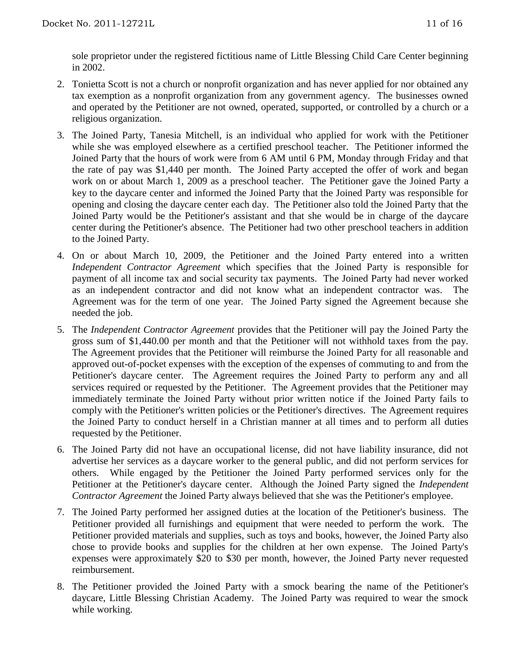sole proprietor under the registered fictitious name of Little Blessing Child Care Center beginning in 2002.

- 2. Tonietta Scott is not a church or nonprofit organization and has never applied for nor obtained any tax exemption as a nonprofit organization from any government agency. The businesses owned and operated by the Petitioner are not owned, operated, supported, or controlled by a church or a religious organization.
- 3. The Joined Party, Tanesia Mitchell, is an individual who applied for work with the Petitioner while she was employed elsewhere as a certified preschool teacher. The Petitioner informed the Joined Party that the hours of work were from 6 AM until 6 PM, Monday through Friday and that the rate of pay was \$1,440 per month. The Joined Party accepted the offer of work and began work on or about March 1, 2009 as a preschool teacher. The Petitioner gave the Joined Party a key to the daycare center and informed the Joined Party that the Joined Party was responsible for opening and closing the daycare center each day. The Petitioner also told the Joined Party that the Joined Party would be the Petitioner's assistant and that she would be in charge of the daycare center during the Petitioner's absence. The Petitioner had two other preschool teachers in addition to the Joined Party.
- 4. On or about March 10, 2009, the Petitioner and the Joined Party entered into a written *Independent Contractor Agreement* which specifies that the Joined Party is responsible for payment of all income tax and social security tax payments. The Joined Party had never worked as an independent contractor and did not know what an independent contractor was. The Agreement was for the term of one year. The Joined Party signed the Agreement because she needed the job.
- 5. The *Independent Contractor Agreement* provides that the Petitioner will pay the Joined Party the gross sum of \$1,440.00 per month and that the Petitioner will not withhold taxes from the pay. The Agreement provides that the Petitioner will reimburse the Joined Party for all reasonable and approved out-of-pocket expenses with the exception of the expenses of commuting to and from the Petitioner's daycare center. The Agreement requires the Joined Party to perform any and all services required or requested by the Petitioner. The Agreement provides that the Petitioner may immediately terminate the Joined Party without prior written notice if the Joined Party fails to comply with the Petitioner's written policies or the Petitioner's directives. The Agreement requires the Joined Party to conduct herself in a Christian manner at all times and to perform all duties requested by the Petitioner.
- 6. The Joined Party did not have an occupational license, did not have liability insurance, did not advertise her services as a daycare worker to the general public, and did not perform services for others. While engaged by the Petitioner the Joined Party performed services only for the Petitioner at the Petitioner's daycare center. Although the Joined Party signed the *Independent Contractor Agreement* the Joined Party always believed that she was the Petitioner's employee.
- 7. The Joined Party performed her assigned duties at the location of the Petitioner's business. The Petitioner provided all furnishings and equipment that were needed to perform the work. The Petitioner provided materials and supplies, such as toys and books, however, the Joined Party also chose to provide books and supplies for the children at her own expense. The Joined Party's expenses were approximately \$20 to \$30 per month, however, the Joined Party never requested reimbursement.
- 8. The Petitioner provided the Joined Party with a smock bearing the name of the Petitioner's daycare, Little Blessing Christian Academy. The Joined Party was required to wear the smock while working.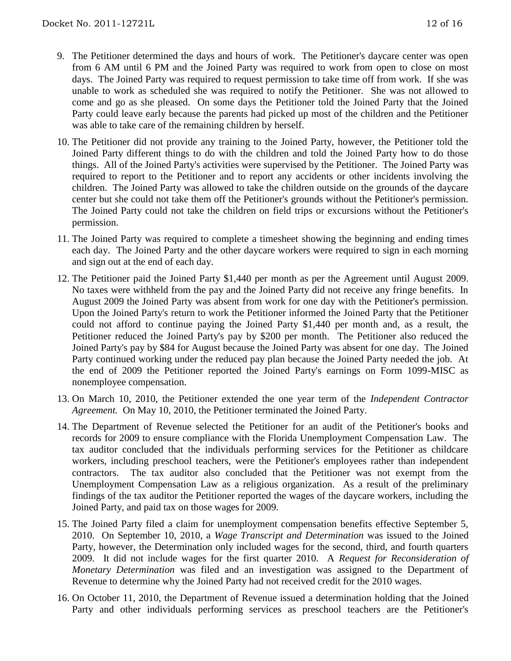- 9. The Petitioner determined the days and hours of work. The Petitioner's daycare center was open from 6 AM until 6 PM and the Joined Party was required to work from open to close on most days. The Joined Party was required to request permission to take time off from work. If she was unable to work as scheduled she was required to notify the Petitioner. She was not allowed to come and go as she pleased. On some days the Petitioner told the Joined Party that the Joined Party could leave early because the parents had picked up most of the children and the Petitioner was able to take care of the remaining children by herself.
- 10. The Petitioner did not provide any training to the Joined Party, however, the Petitioner told the Joined Party different things to do with the children and told the Joined Party how to do those things. All of the Joined Party's activities were supervised by the Petitioner. The Joined Party was required to report to the Petitioner and to report any accidents or other incidents involving the children. The Joined Party was allowed to take the children outside on the grounds of the daycare center but she could not take them off the Petitioner's grounds without the Petitioner's permission. The Joined Party could not take the children on field trips or excursions without the Petitioner's permission.
- 11. The Joined Party was required to complete a timesheet showing the beginning and ending times each day. The Joined Party and the other daycare workers were required to sign in each morning and sign out at the end of each day.
- 12. The Petitioner paid the Joined Party \$1,440 per month as per the Agreement until August 2009. No taxes were withheld from the pay and the Joined Party did not receive any fringe benefits. In August 2009 the Joined Party was absent from work for one day with the Petitioner's permission. Upon the Joined Party's return to work the Petitioner informed the Joined Party that the Petitioner could not afford to continue paying the Joined Party \$1,440 per month and, as a result, the Petitioner reduced the Joined Party's pay by \$200 per month. The Petitioner also reduced the Joined Party's pay by \$84 for August because the Joined Party was absent for one day. The Joined Party continued working under the reduced pay plan because the Joined Party needed the job. At the end of 2009 the Petitioner reported the Joined Party's earnings on Form 1099-MISC as nonemployee compensation.
- 13. On March 10, 2010, the Petitioner extended the one year term of the *Independent Contractor Agreement.* On May 10, 2010, the Petitioner terminated the Joined Party.
- 14. The Department of Revenue selected the Petitioner for an audit of the Petitioner's books and records for 2009 to ensure compliance with the Florida Unemployment Compensation Law. The tax auditor concluded that the individuals performing services for the Petitioner as childcare workers, including preschool teachers, were the Petitioner's employees rather than independent contractors. The tax auditor also concluded that the Petitioner was not exempt from the Unemployment Compensation Law as a religious organization. As a result of the preliminary findings of the tax auditor the Petitioner reported the wages of the daycare workers, including the Joined Party, and paid tax on those wages for 2009.
- 15. The Joined Party filed a claim for unemployment compensation benefits effective September 5, 2010. On September 10, 2010, a *Wage Transcript and Determination* was issued to the Joined Party, however, the Determination only included wages for the second, third, and fourth quarters 2009. It did not include wages for the first quarter 2010. A *Request for Reconsideration of Monetary Determination* was filed and an investigation was assigned to the Department of Revenue to determine why the Joined Party had not received credit for the 2010 wages.
- 16. On October 11, 2010, the Department of Revenue issued a determination holding that the Joined Party and other individuals performing services as preschool teachers are the Petitioner's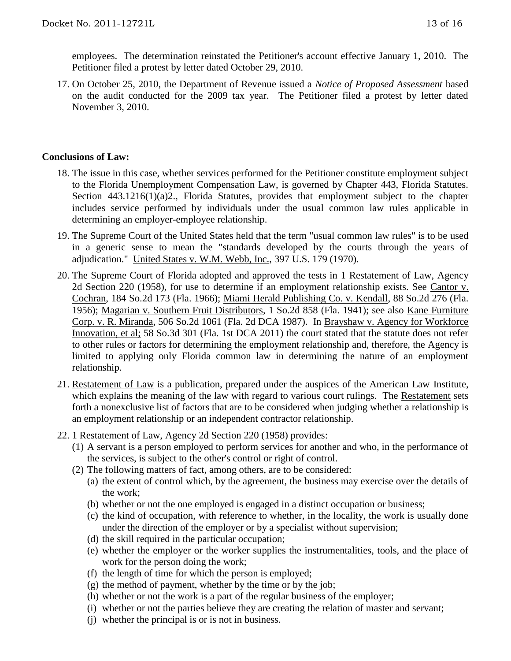employees. The determination reinstated the Petitioner's account effective January 1, 2010. The Petitioner filed a protest by letter dated October 29, 2010.

17. On October 25, 2010, the Department of Revenue issued a *Notice of Proposed Assessment* based on the audit conducted for the 2009 tax year. The Petitioner filed a protest by letter dated November 3, 2010.

### **Conclusions of Law:**

- 18. The issue in this case, whether services performed for the Petitioner constitute employment subject to the Florida Unemployment Compensation Law, is governed by Chapter 443, Florida Statutes. Section 443.1216(1)(a)2., Florida Statutes, provides that employment subject to the chapter includes service performed by individuals under the usual common law rules applicable in determining an employer-employee relationship.
- 19. The Supreme Court of the United States held that the term "usual common law rules" is to be used in a generic sense to mean the "standards developed by the courts through the years of adjudication." United States v. W.M. Webb, Inc., 397 U.S. 179 (1970).
- 20. The Supreme Court of Florida adopted and approved the tests in 1 Restatement of Law, Agency 2d Section 220 (1958), for use to determine if an employment relationship exists. See Cantor v. Cochran, 184 So.2d 173 (Fla. 1966); Miami Herald Publishing Co. v. Kendall, 88 So.2d 276 (Fla. 1956); Magarian v. Southern Fruit Distributors, 1 So.2d 858 (Fla. 1941); see also Kane Furniture Corp. v. R. Miranda, 506 So.2d 1061 (Fla. 2d DCA 1987). In Brayshaw v. Agency for Workforce Innovation, et al; 58 So.3d 301 (Fla. 1st DCA 2011) the court stated that the statute does not refer to other rules or factors for determining the employment relationship and, therefore, the Agency is limited to applying only Florida common law in determining the nature of an employment relationship.
- 21. Restatement of Law is a publication, prepared under the auspices of the American Law Institute, which explains the meaning of the law with regard to various court rulings. The Restatement sets forth a nonexclusive list of factors that are to be considered when judging whether a relationship is an employment relationship or an independent contractor relationship.
- 22. 1 Restatement of Law, Agency 2d Section 220 (1958) provides:
	- (1) A servant is a person employed to perform services for another and who, in the performance of the services, is subject to the other's control or right of control.
	- (2) The following matters of fact, among others, are to be considered:
		- (a) the extent of control which, by the agreement, the business may exercise over the details of the work;
		- (b) whether or not the one employed is engaged in a distinct occupation or business;
		- (c) the kind of occupation, with reference to whether, in the locality, the work is usually done under the direction of the employer or by a specialist without supervision;
		- (d) the skill required in the particular occupation;
		- (e) whether the employer or the worker supplies the instrumentalities, tools, and the place of work for the person doing the work;
		- (f) the length of time for which the person is employed;
		- $(g)$  the method of payment, whether by the time or by the job;
		- (h) whether or not the work is a part of the regular business of the employer;
		- (i) whether or not the parties believe they are creating the relation of master and servant;
		- (j) whether the principal is or is not in business.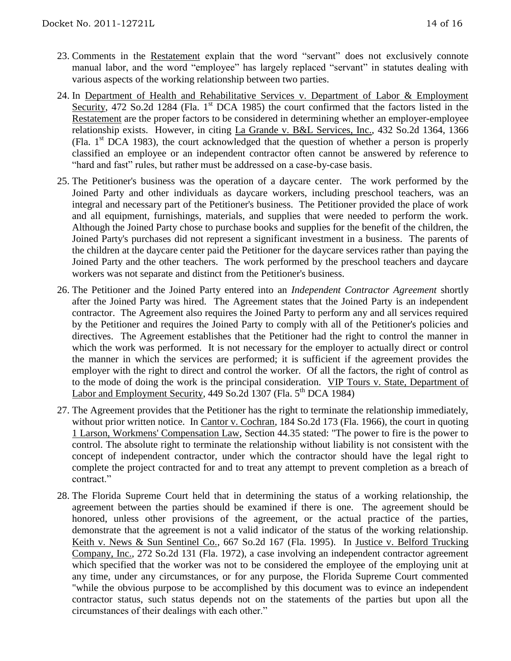- 23. Comments in the Restatement explain that the word "servant" does not exclusively connote manual labor, and the word "employee" has largely replaced "servant" in statutes dealing with various aspects of the working relationship between two parties.
- 24. In Department of Health and Rehabilitative Services v. Department of Labor & Employment Security, 472 So.2d 1284 (Fla. 1<sup>st</sup> DCA 1985) the court confirmed that the factors listed in the Restatement are the proper factors to be considered in determining whether an employer-employee relationship exists. However, in citing La Grande v. B&L Services, Inc., 432 So.2d 1364, 1366 (Fla.  $1<sup>st</sup>$  DCA 1983), the court acknowledged that the question of whether a person is properly classified an employee or an independent contractor often cannot be answered by reference to "hard and fast" rules, but rather must be addressed on a case-by-case basis.
- 25. The Petitioner's business was the operation of a daycare center. The work performed by the Joined Party and other individuals as daycare workers, including preschool teachers, was an integral and necessary part of the Petitioner's business. The Petitioner provided the place of work and all equipment, furnishings, materials, and supplies that were needed to perform the work. Although the Joined Party chose to purchase books and supplies for the benefit of the children, the Joined Party's purchases did not represent a significant investment in a business. The parents of the children at the daycare center paid the Petitioner for the daycare services rather than paying the Joined Party and the other teachers. The work performed by the preschool teachers and daycare workers was not separate and distinct from the Petitioner's business.
- 26. The Petitioner and the Joined Party entered into an *Independent Contractor Agreement* shortly after the Joined Party was hired. The Agreement states that the Joined Party is an independent contractor. The Agreement also requires the Joined Party to perform any and all services required by the Petitioner and requires the Joined Party to comply with all of the Petitioner's policies and directives. The Agreement establishes that the Petitioner had the right to control the manner in which the work was performed. It is not necessary for the employer to actually direct or control the manner in which the services are performed; it is sufficient if the agreement provides the employer with the right to direct and control the worker. Of all the factors, the right of control as to the mode of doing the work is the principal consideration. VIP Tours v. State, Department of Labor and Employment Security, 449 So.2d 1307 (Fla.  $5<sup>th</sup> DCA$  1984)
- 27. The Agreement provides that the Petitioner has the right to terminate the relationship immediately, without prior written notice. In Cantor v. Cochran, 184 So.2d 173 (Fla. 1966), the court in quoting 1 Larson, Workmens' Compensation Law, Section 44.35 stated: "The power to fire is the power to control. The absolute right to terminate the relationship without liability is not consistent with the concept of independent contractor, under which the contractor should have the legal right to complete the project contracted for and to treat any attempt to prevent completion as a breach of contract."
- 28. The Florida Supreme Court held that in determining the status of a working relationship, the agreement between the parties should be examined if there is one. The agreement should be honored, unless other provisions of the agreement, or the actual practice of the parties, demonstrate that the agreement is not a valid indicator of the status of the working relationship. Keith v. News & Sun Sentinel Co., 667 So.2d 167 (Fla. 1995). In Justice v. Belford Trucking Company, Inc., 272 So.2d 131 (Fla. 1972), a case involving an independent contractor agreement which specified that the worker was not to be considered the employee of the employing unit at any time, under any circumstances, or for any purpose, the Florida Supreme Court commented "while the obvious purpose to be accomplished by this document was to evince an independent contractor status, such status depends not on the statements of the parties but upon all the circumstances of their dealings with each other."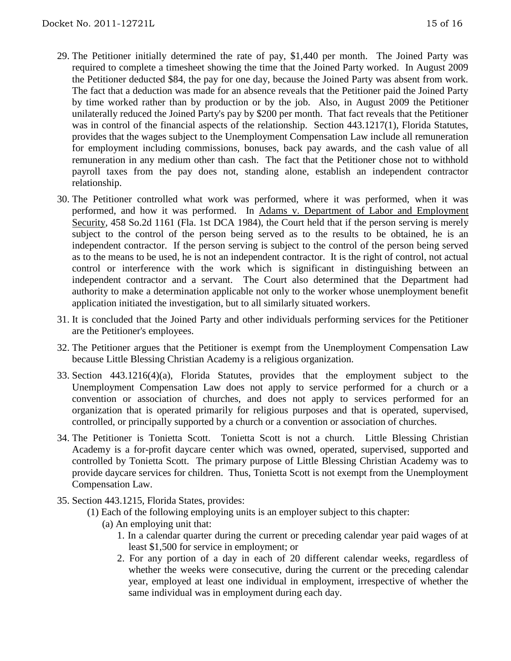- 29. The Petitioner initially determined the rate of pay, \$1,440 per month. The Joined Party was required to complete a timesheet showing the time that the Joined Party worked. In August 2009 the Petitioner deducted \$84, the pay for one day, because the Joined Party was absent from work. The fact that a deduction was made for an absence reveals that the Petitioner paid the Joined Party by time worked rather than by production or by the job. Also, in August 2009 the Petitioner unilaterally reduced the Joined Party's pay by \$200 per month. That fact reveals that the Petitioner was in control of the financial aspects of the relationship. Section 443.1217(1), Florida Statutes, provides that the wages subject to the Unemployment Compensation Law include all remuneration for employment including commissions, bonuses, back pay awards, and the cash value of all remuneration in any medium other than cash. The fact that the Petitioner chose not to withhold payroll taxes from the pay does not, standing alone, establish an independent contractor relationship.
- 30. The Petitioner controlled what work was performed, where it was performed, when it was performed, and how it was performed. In Adams v. Department of Labor and Employment Security, 458 So.2d 1161 (Fla. 1st DCA 1984), the Court held that if the person serving is merely subject to the control of the person being served as to the results to be obtained, he is an independent contractor. If the person serving is subject to the control of the person being served as to the means to be used, he is not an independent contractor. It is the right of control, not actual control or interference with the work which is significant in distinguishing between an independent contractor and a servant. The Court also determined that the Department had authority to make a determination applicable not only to the worker whose unemployment benefit application initiated the investigation, but to all similarly situated workers.
- 31. It is concluded that the Joined Party and other individuals performing services for the Petitioner are the Petitioner's employees.
- 32. The Petitioner argues that the Petitioner is exempt from the Unemployment Compensation Law because Little Blessing Christian Academy is a religious organization.
- 33. Section 443.1216(4)(a), Florida Statutes, provides that the employment subject to the Unemployment Compensation Law does not apply to service performed for a church or a convention or association of churches, and does not apply to services performed for an organization that is operated primarily for religious purposes and that is operated, supervised, controlled, or principally supported by a church or a convention or association of churches.
- 34. The Petitioner is Tonietta Scott. Tonietta Scott is not a church. Little Blessing Christian Academy is a for-profit daycare center which was owned, operated, supervised, supported and controlled by Tonietta Scott. The primary purpose of Little Blessing Christian Academy was to provide daycare services for children. Thus, Tonietta Scott is not exempt from the Unemployment Compensation Law.
- 35. Section 443.1215, Florida States, provides:
	- (1) Each of the following employing units is an employer subject to this chapter:
		- (a) An employing unit that:
			- 1. In a calendar quarter during the current or preceding calendar year paid wages of at least \$1,500 for service in employment; or
			- 2. For any portion of a day in each of 20 different calendar weeks, regardless of whether the weeks were consecutive, during the current or the preceding calendar year, employed at least one individual in employment, irrespective of whether the same individual was in employment during each day.